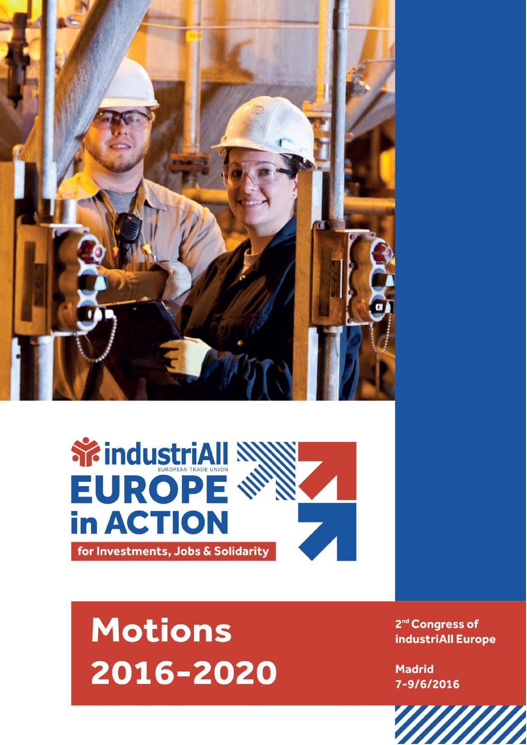



## **Motions** 2016-2020

2<sup>nd</sup> Congress of industriAll Europe

**Madrid** 7-9/6/2016